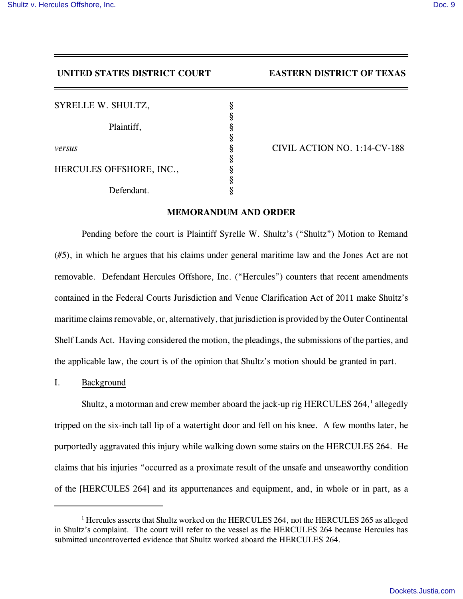# **UNITED STATES DISTRICT COURT EASTERN DISTRICT OF TEXAS**

| SYRELLE W. SHULTZ,       | §      |
|--------------------------|--------|
| Plaintiff,               | §<br>§ |
| versus                   | §      |
| HERCULES OFFSHORE, INC., | §      |
| Defendant.               | §<br>ş |

*versus* § CIVIL ACTION NO. 1:14-CV-188

# **MEMORANDUM AND ORDER**

Pending before the court is Plaintiff Syrelle W. Shultz's ("Shultz") Motion to Remand (#5), in which he argues that his claims under general maritime law and the Jones Act are not removable. Defendant Hercules Offshore, Inc. ("Hercules") counters that recent amendments contained in the Federal Courts Jurisdiction and Venue Clarification Act of 2011 make Shultz's maritime claims removable, or, alternatively, that jurisdiction is provided by the Outer Continental Shelf Lands Act. Having considered the motion, the pleadings, the submissions of the parties, and the applicable law, the court is of the opinion that Shultz's motion should be granted in part.

I. Background

Shultz, a motorman and crew member aboard the jack-up rig HERCULES 264, $^1$  allegedly tripped on the six-inch tall lip of a watertight door and fell on his knee. A few months later, he purportedly aggravated this injury while walking down some stairs on the HERCULES 264. He claims that his injuries "occurred as a proximate result of the unsafe and unseaworthy condition of the [HERCULES 264] and its appurtenances and equipment, and, in whole or in part, as a

 $1$  Hercules asserts that Shultz worked on the HERCULES 264, not the HERCULES 265 as alleged in Shultz's complaint. The court will refer to the vessel as the HERCULES 264 because Hercules has submitted uncontroverted evidence that Shultz worked aboard the HERCULES 264.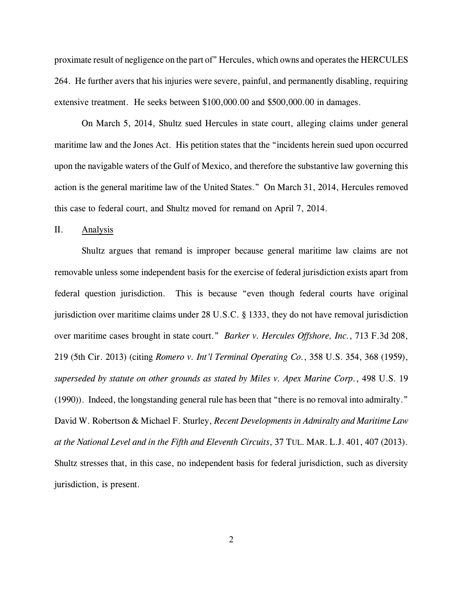proximate result of negligence on the part of" Hercules, which owns and operates the HERCULES 264. He further avers that his injuries were severe, painful, and permanently disabling, requiring extensive treatment. He seeks between \$100,000.00 and \$500,000.00 in damages.

On March 5, 2014, Shultz sued Hercules in state court, alleging claims under general maritime law and the Jones Act. His petition states that the "incidents herein sued upon occurred upon the navigable waters of the Gulf of Mexico, and therefore the substantive law governing this action is the general maritime law of the United States." On March 31, 2014, Hercules removed this case to federal court, and Shultz moved for remand on April 7, 2014.

II. Analysis

Shultz argues that remand is improper because general maritime law claims are not removable unless some independent basis for the exercise of federal jurisdiction exists apart from federal question jurisdiction. This is because "even though federal courts have original jurisdiction over maritime claims under 28 U.S.C. § 1333, they do not have removal jurisdiction over maritime cases brought in state court." *Barker v. Hercules Offshore, Inc.*, 713 F.3d 208, 219 (5th Cir. 2013) (citing *Romero v. Int'l Terminal Operating Co.*, 358 U.S. 354, 368 (1959), *superseded by statute on other grounds as stated by Miles v. Apex Marine Corp.*, 498 U.S. 19 (1990)). Indeed, the longstanding general rule has been that "there is no removal into admiralty." David W. Robertson & Michael F. Sturley, *Recent Developments in Admiralty and Maritime Law at the National Level and in the Fifth and Eleventh Circuits*, 37 TUL. MAR. L.J. 401, 407 (2013). Shultz stresses that, in this case, no independent basis for federal jurisdiction, such as diversity jurisdiction, is present.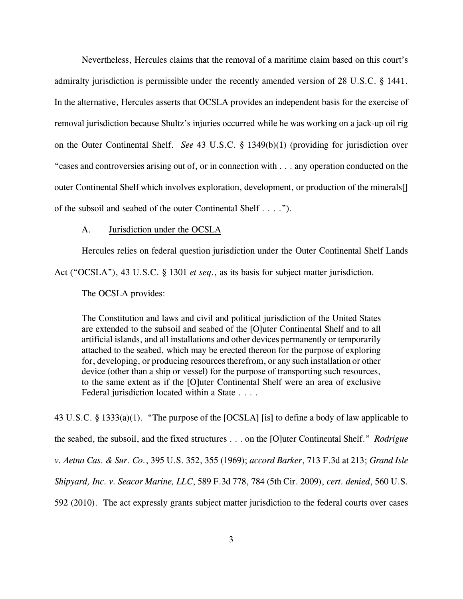Nevertheless, Hercules claims that the removal of a maritime claim based on this court's admiralty jurisdiction is permissible under the recently amended version of 28 U.S.C. § 1441. In the alternative, Hercules asserts that OCSLA provides an independent basis for the exercise of removal jurisdiction because Shultz's injuries occurred while he was working on a jack-up oil rig on the Outer Continental Shelf. *See* 43 U.S.C. § 1349(b)(1) (providing for jurisdiction over "cases and controversies arising out of, or in connection with . . . any operation conducted on the outer Continental Shelf which involves exploration, development, or production of the minerals[] of the subsoil and seabed of the outer Continental Shelf . . . .").

### A. Jurisdiction under the OCSLA

Hercules relies on federal question jurisdiction under the Outer Continental Shelf Lands Act ("OCSLA"), 43 U.S.C. § 1301 *et seq*., as its basis for subject matter jurisdiction.

The OCSLA provides:

The Constitution and laws and civil and political jurisdiction of the United States are extended to the subsoil and seabed of the [O]uter Continental Shelf and to all artificial islands, and all installations and other devices permanently or temporarily attached to the seabed, which may be erected thereon for the purpose of exploring for, developing, or producing resources therefrom, or any such installation or other device (other than a ship or vessel) for the purpose of transporting such resources, to the same extent as if the [O]uter Continental Shelf were an area of exclusive Federal jurisdiction located within a State . . . .

43 U.S.C. § 1333(a)(1). "The purpose of the [OCSLA] [is] to define a body of law applicable to the seabed, the subsoil, and the fixed structures . . . on the [O]uter Continental Shelf." *Rodrigue v. Aetna Cas. & Sur. Co.*, 395 U.S. 352, 355 (1969); *accord Barker*, 713 F.3d at 213; *Grand Isle Shipyard, Inc. v. Seacor Marine, LLC*, 589 F.3d 778, 784 (5th Cir. 2009), *cert. denied*, 560 U.S. 592 (2010). The act expressly grants subject matter jurisdiction to the federal courts over cases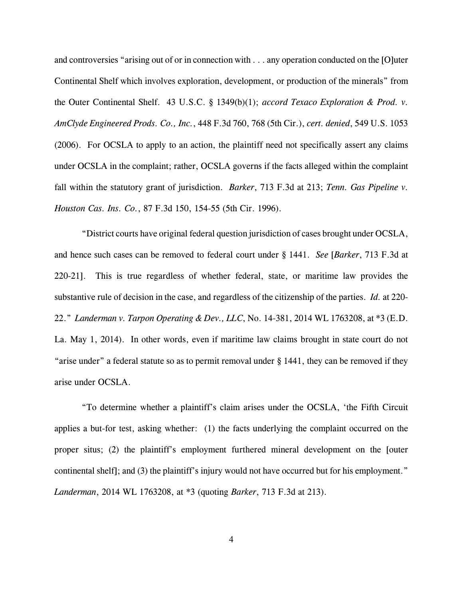and controversies "arising out of or in connection with . . . any operation conducted on the [O]uter Continental Shelf which involves exploration, development, or production of the minerals" from the Outer Continental Shelf. 43 U.S.C. § 1349(b)(1); *accord Texaco Exploration & Prod. v. AmClyde Engineered Prods. Co., Inc.*, 448 F.3d 760, 768 (5th Cir.), *cert. denied*, 549 U.S. 1053 (2006). For OCSLA to apply to an action, the plaintiff need not specifically assert any claims under OCSLA in the complaint; rather, OCSLA governs if the facts alleged within the complaint fall within the statutory grant of jurisdiction. *Barker*, 713 F.3d at 213; *Tenn. Gas Pipeline v. Houston Cas. Ins. Co.*, 87 F.3d 150, 154-55 (5th Cir. 1996).

"District courts have original federal question jurisdiction of cases brought under OCSLA, and hence such cases can be removed to federal court under § 1441. *See* [*Barker*, 713 F.3d at 220-21]. This is true regardless of whether federal, state, or maritime law provides the substantive rule of decision in the case, and regardless of the citizenship of the parties. *Id.* at 220- 22." *Landerman v. Tarpon Operating & Dev., LLC*, No. 14-381, 2014 WL 1763208, at \*3 (E.D. La. May 1, 2014). In other words, even if maritime law claims brought in state court do not "arise under" a federal statute so as to permit removal under § 1441, they can be removed if they arise under OCSLA.

"To determine whether a plaintiff's claim arises under the OCSLA, 'the Fifth Circuit applies a but-for test, asking whether: (1) the facts underlying the complaint occurred on the proper situs; (2) the plaintiff's employment furthered mineral development on the [outer continental shelf]; and (3) the plaintiff's injury would not have occurred but for his employment." *Landerman*, 2014 WL 1763208, at \*3 (quoting *Barker*, 713 F.3d at 213).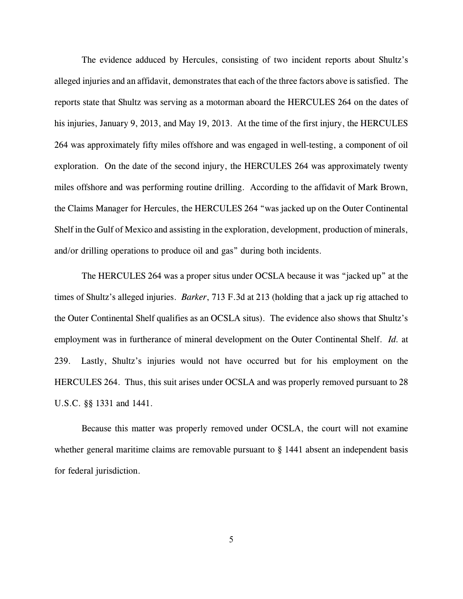The evidence adduced by Hercules, consisting of two incident reports about Shultz's alleged injuries and an affidavit, demonstrates that each of the three factors above is satisfied. The reports state that Shultz was serving as a motorman aboard the HERCULES 264 on the dates of his injuries, January 9, 2013, and May 19, 2013. At the time of the first injury, the HERCULES 264 was approximately fifty miles offshore and was engaged in well-testing, a component of oil exploration. On the date of the second injury, the HERCULES 264 was approximately twenty miles offshore and was performing routine drilling. According to the affidavit of Mark Brown, the Claims Manager for Hercules, the HERCULES 264 "was jacked up on the Outer Continental Shelf in the Gulf of Mexico and assisting in the exploration, development, production of minerals, and/or drilling operations to produce oil and gas" during both incidents.

The HERCULES 264 was a proper situs under OCSLA because it was "jacked up" at the times of Shultz's alleged injuries. *Barker*, 713 F.3d at 213 (holding that a jack up rig attached to the Outer Continental Shelf qualifies as an OCSLA situs). The evidence also shows that Shultz's employment was in furtherance of mineral development on the Outer Continental Shelf. *Id.* at 239. Lastly, Shultz's injuries would not have occurred but for his employment on the HERCULES 264. Thus, this suit arises under OCSLA and was properly removed pursuant to 28 U.S.C. §§ 1331 and 1441.

Because this matter was properly removed under OCSLA, the court will not examine whether general maritime claims are removable pursuant to  $\S$  1441 absent an independent basis for federal jurisdiction.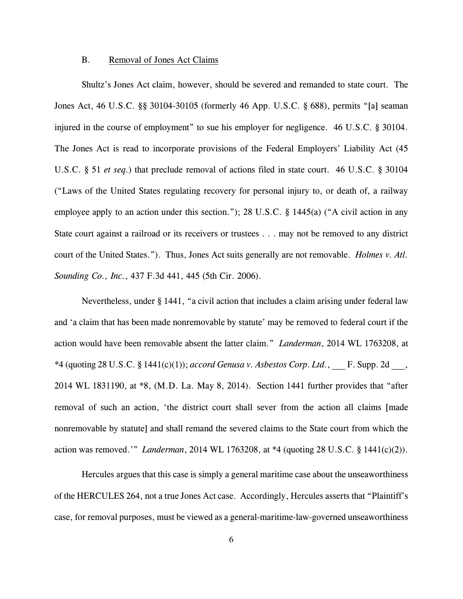#### B. Removal of Jones Act Claims

Shultz's Jones Act claim, however, should be severed and remanded to state court. The Jones Act, 46 U.S.C. §§ 30104-30105 (formerly 46 App. U.S.C. § 688), permits "[a] seaman injured in the course of employment" to sue his employer for negligence. 46 U.S.C. § 30104. The Jones Act is read to incorporate provisions of the Federal Employers' Liability Act (45 U.S.C. § 51 *et seq.*) that preclude removal of actions filed in state court. 46 U.S.C. § 30104 ("Laws of the United States regulating recovery for personal injury to, or death of, a railway employee apply to an action under this section."); 28 U.S.C. § 1445(a) ("A civil action in any State court against a railroad or its receivers or trustees . . . may not be removed to any district court of the United States."). Thus, Jones Act suits generally are not removable. *Holmes v. Atl. Sounding Co., Inc.*, 437 F.3d 441, 445 (5th Cir. 2006).

Nevertheless, under § 1441, "a civil action that includes a claim arising under federal law and 'a claim that has been made nonremovable by statute' may be removed to federal court if the action would have been removable absent the latter claim." *Landerman*, 2014 WL 1763208, at \*4 (quoting 28 U.S.C. § 1441(c)(1)); *accord Genusa v. Asbestos Corp. Ltd.*, \_\_\_ F. Supp. 2d \_\_\_, 2014 WL 1831190, at \*8, (M.D. La. May 8, 2014). Section 1441 further provides that "after removal of such an action, 'the district court shall sever from the action all claims [made nonremovable by statute] and shall remand the severed claims to the State court from which the action was removed.'" *Landerman*, 2014 WL 1763208, at \*4 (quoting 28 U.S.C. § 1441(c)(2)).

Hercules argues that this case is simply a general maritime case about the unseaworthiness of the HERCULES 264, not a true Jones Act case. Accordingly, Hercules asserts that "Plaintiff's case, for removal purposes, must be viewed as a general-maritime-law-governed unseaworthiness